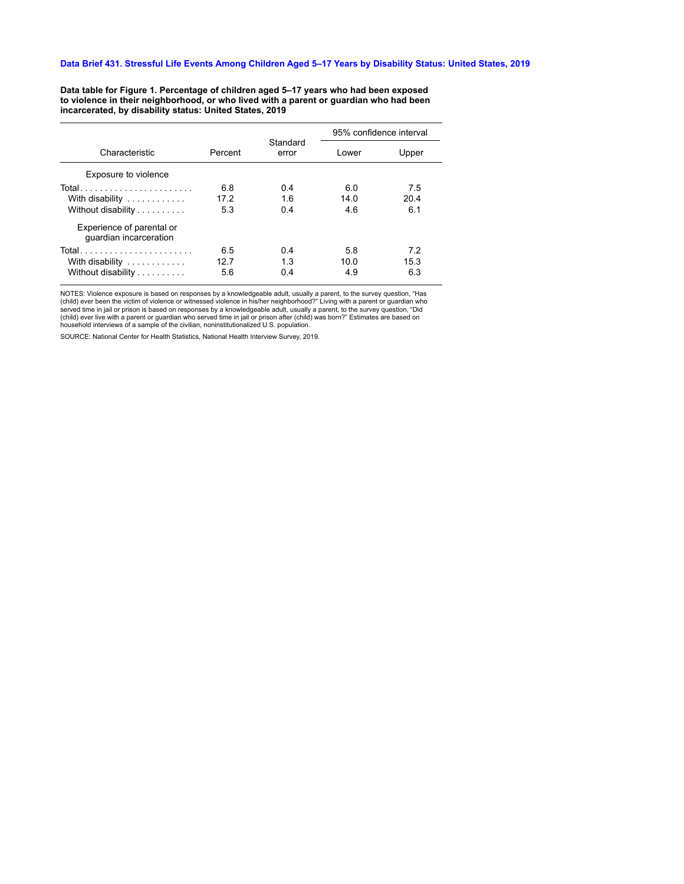## Data Brief 431. Stressful Life Events Among Children Aged 5-17 Years by Disability Status: United States, 2019

Data table for Figure 1. Percentage of children aged 5-17 years who had been exposed to violence in their neighborhood, or who lived with a parent or guardian who had been<br>incarcerated, by disability status: United States, 2019

|                                                     |         |                   | 95% confidence interval |       |
|-----------------------------------------------------|---------|-------------------|-------------------------|-------|
| Characteristic                                      | Percent | Standard<br>error | Lower                   | Upper |
| Exposure to violence                                |         |                   |                         |       |
| Total                                               | 6.8     | 04                | 6.0                     | 7.5   |
| With disability                                     | 17.2    | 16                | 14.0                    | 20.4  |
| Without disability                                  | 5.3     | 0.4               | 4.6                     | 6.1   |
| Experience of parental or<br>guardian incarceration |         |                   |                         |       |
| Total                                               | 6.5     | 04                | 5.8                     | 7.2   |
| With disability                                     | 12.7    | 1.3               | 10.0                    | 15.3  |
| Without disability                                  | 5.6     | 0.4               | 4.9                     | 6.3   |

NOTES: Violence exposure is based on responses by a knowledgeable adult, usually a parent, to the survey question, "Has (child) ever been the victim of violence or witnessed violence in his/her neighborhood?" Living with a

SOURCE: National Center for Health Statistics, National Health Interview Survey, 2019.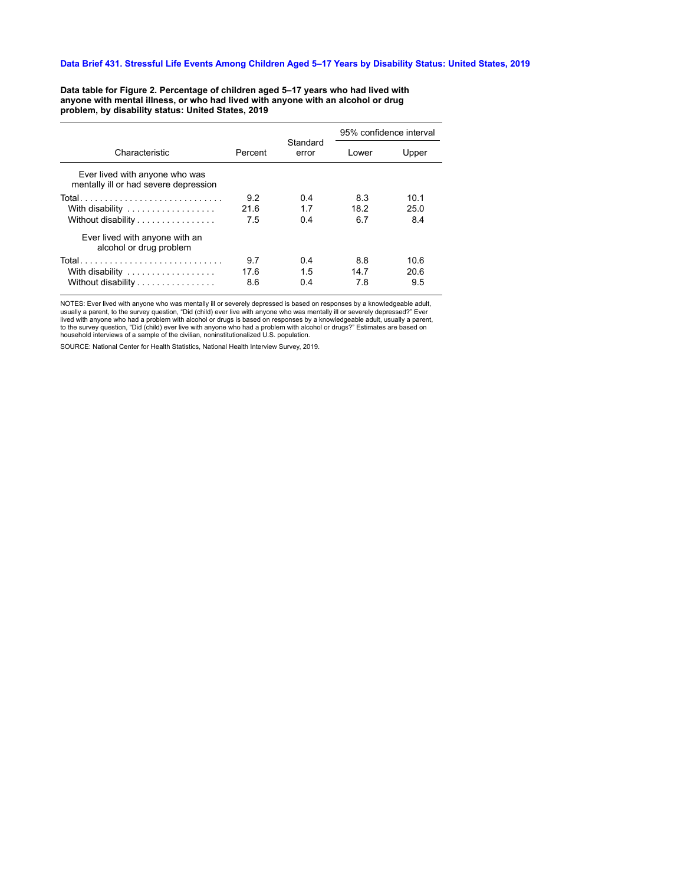## Data Brief 431. Stressful Life Events Among Children Aged 5-17 Years by Disability Status: United States, 2019

Data table for Figure 2. Percentage of children aged 5-17 years who had lived with anyone with mental illness, or who had lived with anyone with an alcohol or drug problem, by disability status: United States, 2019

|                                                                         | Percent | Standard<br>error | 95% confidence interval |       |
|-------------------------------------------------------------------------|---------|-------------------|-------------------------|-------|
| Characteristic                                                          |         |                   | Lower                   | Upper |
| Ever lived with anyone who was<br>mentally ill or had severe depression |         |                   |                         |       |
|                                                                         | 9.2     | 0.4               | 8.3                     | 10.1  |
| With disability                                                         | 21.6    | 17                | 18.2                    | 250   |
| Without disability                                                      | 7.5     | 0.4               | 6.7                     | 8.4   |
| Ever lived with anyone with an<br>alcohol or drug problem               |         |                   |                         |       |
|                                                                         | 9.7     | 0.4               | 8.8                     | 10.6  |
| With disability                                                         | 17.6    | 15                | 147                     | 20.6  |
| Without disability                                                      | 8.6     | 0.4               | 7.8                     | 9.5   |

NOTES: Ever lived with anyone who was mentally ill or severely depressed is based on responses by a knowledgeable adult, usually a parent, to the survey question, "Did (child) ever live with anyone who was mentally ill or household interviews of a sample of the civilian, noninstitutionalized U.S. population.

SOURCE: National Center for Health Statistics, National Health Interview Survey, 2019.